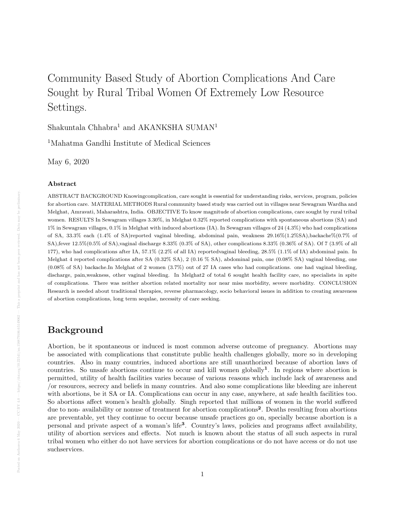# Community Based Study of Abortion Complications And Care Sought by Rural Tribal Women Of Extremely Low Resource Settings.

Shakuntala Chhabra<sup>1</sup> and AKANKSHA SUMAN<sup>1</sup>

<sup>1</sup>Mahatma Gandhi Institute of Medical Sciences

May 6, 2020

#### Abstract

ABSTRACT BACKGROUND Knowingcomplication, care sought is essential for understanding risks, services, program, policies for abortion care. MATERIAL METHODS Rural community based study was carried out in villages near Sewagram Wardha and Melghat, Amravati, Maharashtra, India. OBJECTIVE To know magnitude of abortion complications, care sought by rural tribal women. RESULTS In Sewagram villages 3.30%, in Melghat 0.32% reported complications with spontaneous abortions (SA) and 1% in Sewagram villages, 0.1% in Melghat with induced abortions (IA). In Sewagram villages of 24 (4.3%) who had complications of SA, 33.3% each (1.4% of SA)reported vaginal bleeding, abdominal pain, weakness 29.16%(1.2%SA),backache%(0.7% of SA),fever 12.5%(0.5% of SA),vaginal discharge 8.33% (0.3% of SA), other complications 8.33% (0.36% of SA). Of 7 (3.9% of all 177), who had complications after IA, 57.1% (2.2% of all IA) reportedvaginal bleeding, 28.5% (1.1% of IA) abdominal pain. In Melghat 4 reported complications after SA (0.32% SA), 2 (0.16 % SA), abdominal pain, one (0.08% SA) vaginal bleeding, one  $(0.08\%$  of SA) backache.In Melghat of 2 women  $(3.7\%)$  out of 27 IA cases who had complications. one had vaginal bleeding, discharge, pain,weakness, other vaginal bleeding. In Melghat2 of total 6 sought health facility care, no specialists in spite of complications. There was neither abortion related mortality nor near miss morbidity, severe morbidity. CONCLUSION Research is needed about traditional therapies, reverse pharmacology, socio behavioral issues in addition to creating awareness of abortion complications, long term sequlae, necessity of care seeking.

### Background

Abortion, be it spontaneous or induced is most common adverse outcome of pregnancy. Abortions may be associated with complications that constitute public health challenges globally, more so in developing countries. Also in many countries, induced abortions are still unauthorized because of abortion laws of countries. So unsafe abortions continue to occur and kill women globally<sup>1</sup>. In regions where abortion is permitted, utility of health facilities varies because of various reasons which include lack of awareness and /or resources, secrecy and beliefs in many countries. And also some complications like bleeding are inherent with abortions, be it SA or IA. Complications can occur in any case, anywhere, at safe health facilities too. So abortions affect women's health globally. Singh reported that millions of women in the world suffered due to non- availability or nonuse of treatment for abortion complications<sup>2</sup>. Deaths resulting from abortions are preventable, yet they continue to occur because unsafe practices go on, specially because abortion is a personal and private aspect of a woman's life<sup>3</sup>. Country's laws, policies and programs affect availability, utility of abortion services and effects. Not much is known about the status of all such aspects in rural tribal women who either do not have services for abortion complications or do not have access or do not use suchservices.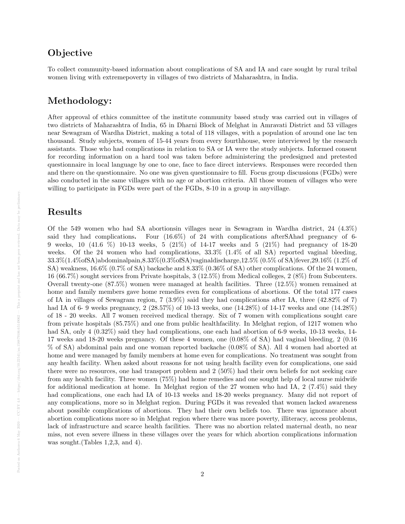# **Objective**

To collect community-based information about complications of SA and IA and care sought by rural tribal women living with extremepoverty in villages of two districts of Maharashtra, in India.

# Methodology:

After approval of ethics committee of the institute community based study was carried out in villages of two districts of Maharashtra of India, 65 in Dharni Block of Melghat in Amravati District and 53 villages near Sewagram of Wardha District, making a total of 118 villages, with a population of around one lac ten thousand. Study subjects, women of 15-44 years from every fourthhouse, were interviewed by the research assistants. Those who had complications in relation to SA or IA were the study subjects. Informed consent for recording information on a hard tool was taken before administering the predesigned and pretested questionnaire in local language by one to one, face to face direct interviews. Responses were recorded then and there on the questionnaire. No one was given questionnaire to fill. Focus group discussions (FGDs) were also conducted in the same villages with no age or abortion criteria. All those women of villages who were willing to participate in FGDs were part of the FGDs, 8-10 in a group in anyvillage.

### Results

Of the 549 women who had SA abortionsin villages near in Sewagram in Wardha district, 24 (4.3%) said they had complications. Four (16.6%) of 24 with complications afterSAhad pregnancy of 6- 9 weeks, 10 (41.6 %) 10-13 weeks, 5 (21%) of 14-17 weeks and 5 (21%) had pregnancy of 18-20 weeks. Of the 24 women who had complications,  $33.3\%$  (1.4% of all SA) reported vaginal bleeding, 33.3%(1.4%ofSA)abdominalpain,8.33%(0.3%ofSA)vaginaldischarge,12.5% (0.5% of SA)fever,29.16% (1.2% of SA) weakness, 16.6% (0.7% of SA) backache and 8.33% (0.36% of SA) other complications. Of the 24 women, 16 (66.7%) sought services from Private hospitals, 3 (12.5%) from Medical colleges, 2 (8%) from Subcenters. Overall twenty-one (87.5%) women were managed at health facilities. Three (12.5%) women remained at home and family members gave home remedies even for complications of abortions. Of the total 177 cases of IA in villages of Sewagram region, 7 (3.9%) said they had complications after IA, three (42.82% of 7) had IA of 6- 9 weeks pregnancy, 2 (28.57%) of 10-13 weeks, one (14.28%) of 14-17 weeks and one (14.28%) of 18 - 20 weeks. All 7 women received medical therapy. Six of 7 women with complications sought care from private hospitals (85.75%) and one from public healthfacility. In Melghat region, of 1217 women who had SA, only 4  $(0.32\%)$  said they had complications, one each had abortion of 6-9 weeks, 10-13 weeks, 14-17 weeks and 18-20 weeks pregnancy. Of these 4 women, one (0.08% of SA) had vaginal bleeding, 2 (0.16 % of SA) abdominal pain and one woman reported backache (0.08% of SA). All 4 women had aborted at home and were managed by family members at home even for complications. No treatment was sought from any health facility. When asked about reasons for not using health facility even for complications, one said there were no resources, one had transport problem and 2 (50%) had their own beliefs for not seeking care from any health facility. Three women (75%) had home remedies and one sought help of local nurse midwife for additional medication at home. In Melghat region of the 27 women who had IA, 2 (7.4%) said they had complications, one each had IA of 10-13 weeks and 18-20 weeks pregnancy. Many did not report of any complications, more so in Melghat region. During FGDs it was revealed that women lacked awareness about possible complications of abortions. They had their own beliefs too. There was ignorance about abortion complications more so in Melghat region where there was more poverty, illiteracy, access problems, lack of infrastructure and scarce health facilities. There was no abortion related maternal death, no near miss, not even severe illness in these villages over the years for which abortion complications information was sought.(Tables 1,2,3, and 4).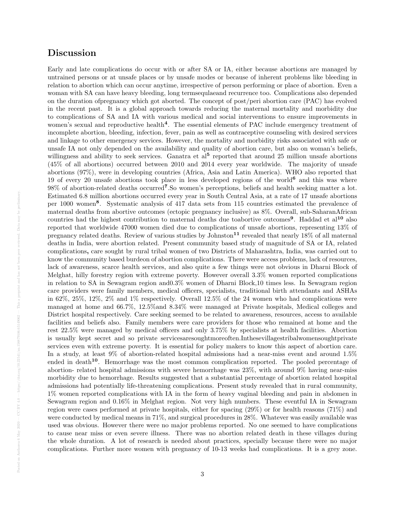### Discussion

Early and late complications do occur with or after SA or IA, either because abortions are managed by untrained persons or at unsafe places or by unsafe modes or because of inherent problems like bleeding in relation to abortion which can occur anytime, irrespective of person performing or place of abortion. Even a woman with SA can have heavy bleeding, long termsequlaeand recurrence too. Complications also depended on the duration ofpregnancy which got aborted. The concept of post/peri abortion care (PAC) has evolved in the recent past. It is a global approach towards reducing the maternal mortality and morbidity due to complications of SA and IA with various medical and social interventions to ensure improvements in women's sexual and reproductive health<sup>4</sup>. The essential elements of PAC include emergency treatment of incomplete abortion, bleeding, infection, fever, pain as well as contraceptive counseling with desired services and linkage to other emergency services. However, the mortality and morbidity risks associated with safe or unsafe IA not only depended on the availability and quality of abortion care, but also on woman's beliefs, willingness and ability to seek services. Ganatra et al<sup>5</sup> reported that around 25 million unsafe abortions (45% of all abortions) occurred between 2010 and 2014 every year worldwide. The majority of unsafe abortions (97%), were in developing countries (Africa, Asia and Latin America). WHO also reported that 19 of every 20 unsafe abortions took place in less developed regions of the world<sup>6</sup> and this was where  $98\%$  of abortion-related deaths occurred<sup>7</sup>. So women's perceptions, beliefs and health seeking matter a lot. Estimated 6.8 million abortions occurred every year in South Central Asia, at a rate of 17 unsafe abortions per 1000 women<sup>8</sup>. Systematic analysis of 417 data sets from 115 countries estimated the prevalence of maternal deaths from abortive outcomes (ectopic pregnancy inclusive) as 8%. Overall, sub-SaharanAfrican countries had the highest contribution to maternal deaths due toabortive outcomes<sup>9</sup>. Haddad et al<sup>10</sup> also reported that worldwide 47000 women died due to complications of unsafe abortions, representing 13% of pregnancy related deaths. Review of various studies by Johnston<sup>11</sup> revealed that nearly  $18\%$  of all maternal deaths in India, were abortion related. Present community based study of magnitude of SA or IA, related complications, care sought by rural tribal women of two Districts of Maharashtra, India, was carried out to know the community based burdeon of abortion complications. There were access problems, lack of resources, lack of awareness, scarce health services, and also quite a few things were not obvious in Dharni Block of Melghat, hilly forestry region with extreme poverty. However overall 3.3% women reported complications in relation to SA in Sewagram region and0.3% women of Dharni Block,10 times less. In Sewagram region care providers were family members, medical officers, specialists, traditional birth attendants and ASHAs in 62%, 25%, 12%, 2% and 1% respectively. Overall 12.5% of the 24 women who had complications were managed at home and 66.7%, 12.5%and 8.34% were managed at Private hospitals, Medical colleges and District hospital respectively. Care seeking seemed to be related to awareness, resources, access to available facilities and beliefs also. Family members were care providers for those who remained at home and the rest 22.5% were managed by medical officers and only 3.75% by specialists at health facilities. Abortion is usually kept secret and so private servicesaresoughtmoreoften.Inthesevillagestribalwomensoughtprivate services even with extreme poverty. It is essential for policy makers to know this aspect of abortion care. In a study, at least 9% of abortion-related hospital admissions had a near-miss event and around 1.5% ended in death<sup>10</sup>. Hemorrhage was the most common complication reported. The pooled percentage of abortion- related hospital admissions with severe hemorrhage was 23%, with around 9% having near-miss morbidity due to hemorrhage. Results suggested that a substantial percentage of abortion related hospital admissions had potentially life-threatening complications. Present study revealed that in rural community, 1% women reported complications with IA in the form of heavy vaginal bleeding and pain in abdomen in Sewagram region and 0.16% in Melghat region. Not very high numbers. These eventful IA in Sewagram region were cases performed at private hospitals, either for spacing (29%) or for health reasons (71%) and were conducted by medical means in 71%, and surgical procedures in 28%. Whatever was easily available was used was obvious. However there were no major problems reported. No one seemed to have complications to cause near miss or even severe illness. There was no abortion related death in these villages during the whole duration. A lot of research is needed about practices, specially because there were no major complications. Further more women with pregnancy of 10-13 weeks had complications. It is a grey zone.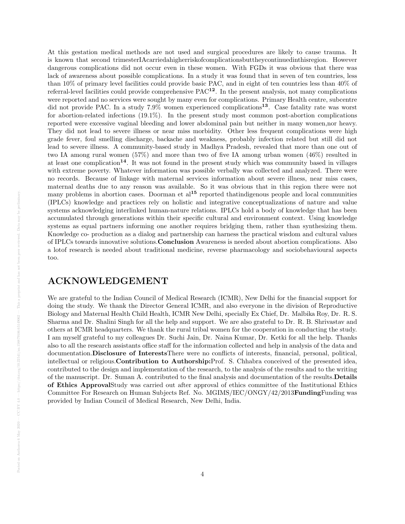At this gestation medical methods are not used and surgical procedures are likely to cause trauma. It is known that second trimesterIAcarriedahigherriskofcomplicationsbuttheycontinuedinthisregion. However dangerous complications did not occur even in these women. With FGDs it was obvious that there was lack of awareness about possible complications. In a study it was found that in seven of ten countries, less than 10% of primary level facilities could provide basic PAC, and in eight of ten countries less than 40% of referral-level facilities could provide comprehensive PAC12. In the present analysis, not many complications were reported and no services were sought by many even for complications. Primary Health centre, subcentre did not provide PAC. In a study  $7.9\%$  women experienced complications<sup>13</sup>. Case fatality rate was worst for abortion-related infections (19.1%). In the present study most common post-abortion complications reported were excessive vaginal bleeding and lower abdominal pain but neither in many women,nor heavy. They did not lead to severe illness or near miss morbidity. Other less frequent complications were high grade fever, foul smelling discharge, backache and weakness, probably infection related but still did not lead to severe illness. A community-based study in Madhya Pradesh, revealed that more than one out of two IA among rural women (57%) and more than two of five IA among urban women (46%) resulted in at least one complication<sup>14</sup>. It was not found in the present study which was community based in villages with extreme poverty. Whatever information was possible verbally was collected and analyzed. There were no records. Because of linkage with maternal services information about severe illness, near miss cases, maternal deaths due to any reason was available. So it was obvious that in this region there were not many problems in abortion cases. Doorman et  $al^{15}$  reported thatindigenous people and local communities (IPLCs) knowledge and practices rely on holistic and integrative conceptualizations of nature and value systems acknowledging interlinked human-nature relations. IPLCs hold a body of knowledge that has been accumulated through generations within their specific cultural and environment context. Using knowledge systems as equal partners informing one another requires bridging them, rather than synthesizing them. Knowledge co- production as a dialog and partnership can harness the practical wisdom and cultural values of IPLCs towards innovative solutions.Conclusion Awareness is needed about abortion complications. Also a lotof research is needed about traditional medicine, reverse pharmacology and sociobehavioural aspects too.

# ACKNOWLEDGEMENT

We are grateful to the Indian Council of Medical Research (ICMR), New Delhi for the financial support for doing the study. We thank the Director General ICMR, and also everyone in the division of Reproductive Biology and Maternal Health Child Health, ICMR New Delhi, specially Ex Chief, Dr. Malbika Roy, Dr. R. S. Sharma and Dr. Shalini Singh for all the help and support. We are also grateful to Dr. R. B. Shrivastav and others at ICMR headquarters. We thank the rural tribal women for the cooperation in conducting the study. I am myself grateful to my colleagues Dr. Suchi Jain, Dr. Naina Kumar, Dr. Ketki for all the help. Thanks also to all the research assistants office staff for the information collected and help in analysis of the data and documentation.Disclosure of InterestsThere were no conflicts of interests, financial, personal, political, intellectual or religious.Contribution to Authorship:Prof. S. Chhabra conceived of the presented idea, contributed to the design and implementation of the research, to the analysis of the results and to the writing of the manuscript. Dr. Suman A. contributed to the final analysis and documentation of the results.Details of Ethics ApprovalStudy was carried out after approval of ethics committee of the Institutional Ethics Committee For Research on Human Subjects Ref. No. MGIMS/IEC/ONGY/42/2013FundingFunding was provided by Indian Council of Medical Research, New Delhi, India.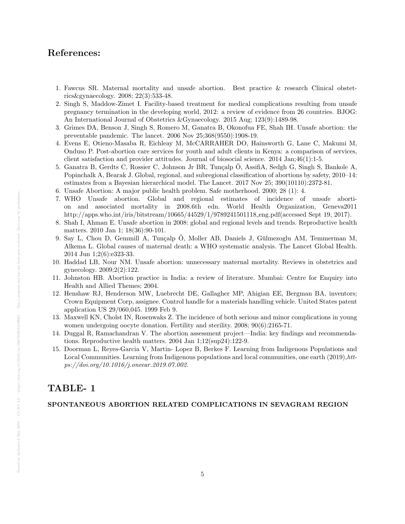# References:

- 1. Fawcus SR. Maternal mortality and unsafe abortion. Best practice & research Clinical obstetrics&gynaecology. 2008; 22(3):533-48.
- 2. Singh S, Maddow-Zimet I. Facility-based treatment for medical complications resulting from unsafe pregnancy termination in the developing world, 2012: a review of evidence from 26 countries. BJOG: An International Journal of Obstetrics &Gynaecology. 2015 Aug; 123(9):1489-98.
- 3. Grimes DA, Benson J, Singh S, Romero M, Ganatra B, Okonofua FE, Shah IH. Unsafe abortion: the preventable pandemic. The lancet. 2006 Nov 25;368(9550):1908-19.
- 4. Evens E, Otieno-Masaba R, Eichleay M, McCARRAHER DO, Hainsworth G, Lane C, Makumi M, Onduso P. Post-abortion care services for youth and adult clients in Kenya: a comparison of services, client satisfaction and provider attitudes. Journal of biosocial science. 2014 Jan;46(1):1-5.
- 5. Ganatra B, Gerdts C, Rossier C, Johnson Jr BR, Tunçalp Ö, AssifiA, Sedgh G, Singh S, Bankole A, Popinchalk A, Bearak J. Global, regional, and subregional classification of abortions by safety, 2010–14: estimates from a Bayesian hierarchical model. The Lancet. 2017 Nov 25; 390(10110):2372-81.
- 6. Unsafe Abortion: A major public health problem. Safe motherhood. 2000; 28 (1): 4.
- 7. WHO Unsafe abortion. Global and regional estimates of incidence of unsafe abortion and associated mortality in 2008.6th edn. World Health Organization, Geneva2011 http://apps.who.int/iris/bitstream/10665/44529/1/9789241501118 eng.pdf(accessed Sept 19, 2017).
- 8. Shah I, Ahman E. Unsafe abortion in 2008: global and regional levels and trends. Reproductive health matters. 2010 Jan 1; 18(36):90-101.
- 9. Say L, Chou D, Gemmill A, Tunçalp Ö, Moller AB, Daniels J, Gülmezoglu AM, Temmerman M, Alkema L. Global causes of maternal death: a WHO systematic analysis. The Lancet Global Health. 2014 Jun 1;2(6):e323-33.
- 10. Haddad LB, Nour NM. Unsafe abortion: unnecessary maternal mortality. Reviews in obstetrics and gynecology. 2009;2(2):122.
- 11. Johnston HB. Abortion practice in India: a review of literature. Mumbai: Centre for Enquiry into Health and Allied Themes; 2004.
- 12. Henshaw RJ, Henderson MW, Luebrecht DE, Gallagher MP, Ahigian EE, Bergman BA, inventors; Crown Equipment Corp, assignee. Control handle for a materials handling vehicle. United States patent application US 29/060,045. 1999 Feb 9.
- 13. Maxwell KN, Cholst IN, Rosenwaks Z. The incidence of both serious and minor complications in young women undergoing oocyte donation. Fertility and sterility. 2008; 90(6):2165-71.
- 14. Duggal R, Ramachandran V. The abortion assessment project—India: key findings and recommendations. Reproductive health matters. 2004 Jan 1;12(sup24):122-9.
- 15. Doorman L, Reyes-Garcia V, Martin- Lopez B, Berkes F. Learning from Indigenous Populations and Local Communities. Learning from Indigenous populations and local communities, one earth  $(2019)$ ,  $htt$ ps://doi.org/10.1016/j.oneear.2019.07.002.

# TABLE- 1

#### SPONTANEOUS ABORTION RELATED COMPLICATIONS IN SEVAGRAM REGION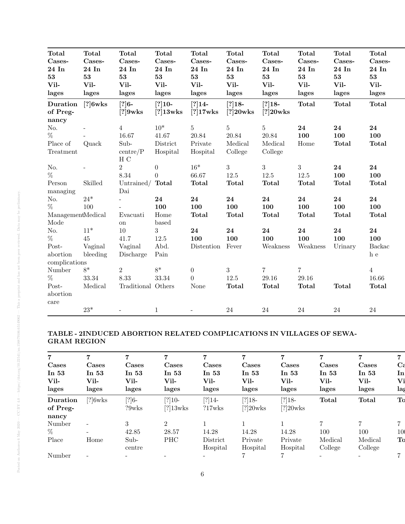| Total             | Total      | <b>Total</b>       | Total            | Total          | Total          | <b>Total</b>   | <b>Total</b>     | Total        | <b>Total</b>   |  |
|-------------------|------------|--------------------|------------------|----------------|----------------|----------------|------------------|--------------|----------------|--|
| Cases-            | Cases-     | Cases-             | Cases-           | Cases-         | Cases-         | Cases-         | Cases-           | Cases-       | Cases-         |  |
| 24 In             | 24 In      | 24 In              | 24 In            | 24 In          | 24 In          | 24 In          | 24 In            | 24 In        | 24 In          |  |
| 53                | 53         | 53                 | 53               | 53             | 53             | 53             | 53               | 53           | 53             |  |
| Vil-              | Vil-       | Vil-               | Vil-             | Vil-           | Vil-           | Vil-           | Vil-             | Vil-         | Vil-           |  |
| lages             | lages      | lages              | lages            | lages          | lages          | lages          | lages            | lages        | lages          |  |
| Duration          | $[?]6w$ ks | $[?]6-$            | $[?]10-$         | $[?]14-$       | $[?]18-$       | $[?]18-$       | <b>Total</b>     | <b>Total</b> | <b>Total</b>   |  |
| of Preg-          |            | $[?]9w$ ks         | $[?]13w$ ks      | $[?]17w$ ks    | $[?]20w$ ks    | $[?]20w$ ks    |                  |              |                |  |
| nancy             |            |                    |                  |                |                |                |                  |              |                |  |
| No.               |            | $\overline{4}$     | $10*$            | $5^{\circ}$    | $\overline{5}$ | $\overline{5}$ | 24               | 24           | 24             |  |
| $\%$              |            | 16.67              | 41.67            | 20.84          | 20.84          | 20.84          | 100              | 100          | 100            |  |
| Place of          | Quack      | Sub-               | District         | Private        | Medical        | Medical        | Home             | <b>Total</b> | <b>Total</b>   |  |
| Treatment         |            | centre/P           | Hospital         | Hospital       | College        | College        |                  |              |                |  |
|                   |            | H C                |                  |                |                |                |                  |              |                |  |
| No.               |            | $\overline{2}$     | $\boldsymbol{0}$ | $16*$          | 3              | $\overline{3}$ | $\boldsymbol{3}$ | 24           | 24             |  |
| %                 |            | 8.34               | $\Omega$         | 66.67          | $12.5\,$       | 12.5           | 12.5             | 100          | 100            |  |
| Person            | Skilled    | Untrained/ Total   |                  | <b>Total</b>   | Total          | <b>Total</b>   | Total            | <b>Total</b> | <b>Total</b>   |  |
| managing          |            | Dai                |                  |                |                |                |                  |              |                |  |
| No.               | $24*$      |                    | 24               | 24             | 24             | 24             | 24               | 24           | 24             |  |
| $\%$              | 100        |                    | 100              | 100            | 100            | 100            | 100              | 100          | 100            |  |
| ManagementMedical |            | Evacuati           | Home             | <b>Total</b>   | <b>Total</b>   | <b>Total</b>   | <b>Total</b>     | <b>Total</b> | <b>Total</b>   |  |
| Mode              |            | on                 | based            |                |                |                |                  |              |                |  |
| No.               | $11*$      | $10\,$             | 3                | 24             | 24             | 24             | 24               | 24           | 24             |  |
| %                 | 45         | 41.7               | $12.5\,$         | 100            | 100            | 100            | 100              | 100          | 100            |  |
| Post-             | Vaginal    | Vaginal            | Abd.             | Distention     | Fever          | Weakness       | Weakness         | Urinary      | Backac         |  |
| abortion          | bleeding   | Discharge          | Pain             |                |                |                |                  |              | h e            |  |
| complications     |            |                    |                  |                |                |                |                  |              |                |  |
| Number            | $8*$       | $\overline{2}$     | $8*$             | $\overline{0}$ | 3              | $\overline{7}$ | $\overline{7}$   |              | $\overline{4}$ |  |
| $\%$              | $33.34\,$  | 8.33               | 33.34            | $\overline{0}$ | $12.5\,$       | 29.16          | 29.16            |              | 16.66          |  |
| Post-             | Medical    | Traditional Others |                  | None           | Total          | <b>Total</b>   | <b>Total</b>     | <b>Total</b> | <b>Total</b>   |  |
| abortion          |            |                    |                  |                |                |                |                  |              |                |  |
| care              |            |                    |                  |                |                |                |                  |              |                |  |
|                   | $23*$      |                    | $\mathbf{1}$     |                | 24             | 24             | 24               | 24           | 24             |  |
|                   |            |                    |                  |                |                |                |                  |              |                |  |

#### TABLE - 2INDUCED ABORTION RELATED COMPLICATIONS IN VILLAGES OF SEWA-GRAM REGION

|          |                          | 7        | 7              | 7         | 7           | 7           | 7       | 7                 | 7        |
|----------|--------------------------|----------|----------------|-----------|-------------|-------------|---------|-------------------|----------|
| Cases    | Cases                    | Cases    | Cases          | Cases     | Cases       | Cases       | Cases   | Cases             | $\bf{C}$ |
| In 53    | In $53$                  | In $53$  | In $53$        | In 53     | In $53$     | In $53$     | In 53   | In 53             | In       |
| Vil-     | Vil-                     | Vil-     | Vil-           | Vil-      | Vil-        | Vil-        | Vil-    | Vil-              | Vi       |
| lages    | lages                    | lages    | lages          | lages     | lages       | lages       | lages   | lages             | lag      |
| Duration | $[?]6w$ ks               | $[?]6-$  | $[?]10-$       | $[?]14-$  | $[?]18-$    | $[?]18-$    | Total   | Total             | To       |
| of Preg- |                          | $?9w$ ks | $[?]13w$ ks    | $?17w$ ks | $[?]20w$ ks | $[?]20w$ ks |         |                   |          |
| nancy    |                          |          |                |           |             |             |         |                   |          |
| Number   | $\overline{\phantom{a}}$ | 3        | $\overline{2}$ |           |             |             |         |                   |          |
| %        | $\overline{\phantom{a}}$ | 42.85    | 28.57          | 14.28     | 14.28       | 14.28       | 100     | 100               | 10       |
| Place    | Home                     | $Sub-$   | <b>PHC</b>     | District  | Private     | Private     | Medical | Medical           | To       |
|          |                          | centre   |                | Hospital  | Hospital    | Hospital    | College | College           |          |
| Number   |                          |          |                |           |             |             |         | $\qquad \qquad =$ |          |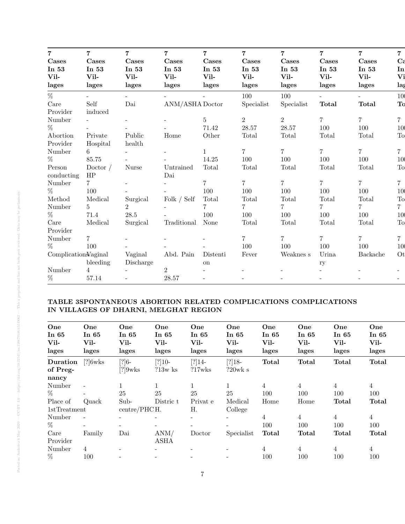| $\overline{7}$       | $\overline{7}$ | $\overline{7}$           | $\overline{7}$           | $\overline{7}$           | $\overline{7}$ | $\overline{7}$ | $\overline{7}$ | $\overline{7}$ | $\overline{7}$           |
|----------------------|----------------|--------------------------|--------------------------|--------------------------|----------------|----------------|----------------|----------------|--------------------------|
| Cases                | Cases          | Cases                    | Cases                    | Cases                    | Cases          | Cases          | Cases          | Cases          | $C\varepsilon$           |
| In 53                | In 53          | In 53                    | In 53                    | In 53                    | In 53          | In 53          | In $53$        | In $53$        | In                       |
| Vil-                 | Vil-           | Vil-                     | Vil-                     | Vil-                     | Vil-           | Vil-           | Vil-           | Vil-           | Vi                       |
| lages                | lages          | lages                    | lages                    | lages                    | lages          | lages          | lages          | lages          | lag                      |
| $\%$                 |                | $\equiv$                 |                          |                          | 100            | 100            | $\overline{a}$ | $\equiv$       | 10                       |
| Care                 | Self           | Dai                      | ANM/ASHA Doctor          |                          | Specialist     | Specialist     | <b>Total</b>   | <b>Total</b>   | To                       |
| Provider             | induced        |                          |                          |                          |                |                |                |                |                          |
| Number               |                | $\overline{\phantom{0}}$ |                          | 5                        | $\overline{2}$ | $\overline{2}$ | $\overline{7}$ | $\overline{7}$ | $\overline{7}$           |
| $\%$                 |                |                          |                          | 71.42                    | 28.57          | 28.57          | 100            | 100            | 10                       |
| Abortion             | Private        | Public                   | Home                     | Other                    | Total          | Total          | Total          | Total          | To                       |
| Provider             | Hospital       | health                   |                          |                          |                |                |                |                |                          |
| Number               | 6              | $\overline{a}$           |                          | $\mathbf{1}$             | $\overline{7}$ | $\overline{7}$ | $\overline{7}$ | $\overline{7}$ | $\overline{7}$           |
| $\%$                 | 85.75          |                          |                          | 14.25                    | 100            | 100            | 100            | 100            | 10                       |
| Person               | Doctor $/$     | Nurse                    | Untrained                | Total                    | Total          | Total          | Total          | Total          | To                       |
| conducting           | HP             |                          | Dai                      |                          |                |                |                |                |                          |
| Number               | $7^{\circ}$    |                          |                          | $\overline{7}$           | $\overline{7}$ | $\overline{7}$ | $\overline{7}$ | $\overline{7}$ | $\overline{7}$           |
| $\%$                 | 100            |                          |                          | 100                      | 100            | 100            | 100            | 100            | 10                       |
| Method               | Medical        | Surgical                 | Folk $/$ Self            | Total                    | Total          | Total          | Total          | Total          | To                       |
| Number               | $5^{\circ}$    | $\overline{2}$           | $\overline{\phantom{a}}$ | 7.                       | $\overline{7}$ | $7^{\circ}$    | $7\phantom{.}$ | $\overline{7}$ | 7 <sup>1</sup>           |
| $\%$                 | 71.4           | $28.5\,$                 |                          | 100                      | 100            | 100            | 100            | 100            | 10                       |
| Care                 | Medical        | Surgical                 | Traditional              | None                     | Total          | Total          | Total          | Total          | To                       |
| Provider             |                |                          |                          |                          |                |                |                |                |                          |
| Number               | $7\phantom{.}$ | $\overline{\phantom{a}}$ |                          |                          | $\overline{7}$ | $\overline{7}$ | $\overline{7}$ | $\overline{7}$ | $\overline{7}$           |
| $\%$                 | 100            |                          |                          |                          | 100            | 100            | 100            | 100            | 10                       |
| Complication Vaginal |                | Vaginal                  | Abd. Pain                | Distenti                 | Fever          | Weaknes s      | Urina          | Backache       | Ot                       |
|                      | bleeding       | Discharge                |                          | on                       |                |                | ry             |                |                          |
| Number               | $\overline{4}$ |                          | $\overline{2}$           |                          |                |                |                |                |                          |
| %                    | 57.14          | $\overline{\phantom{a}}$ | 28.57                    | $\overline{\phantom{a}}$ |                |                |                |                | $\overline{\phantom{0}}$ |

## TABLE 3SPONTANEOUS ABORTION RELATED COMPLICATIONS COMPLICATIONS IN VILLAGES OF DHARNI, MELGHAT REGION

| One<br>In $65$<br>Vil-<br>lages | One<br>In $65$<br>Vil-<br>lages | One<br>In $65$<br>Vil-<br>lages | One<br>In $65$<br>Vil-<br>lages | One<br>In $65$<br>Vil-<br>lages | One<br>In $65$<br>Vil-<br>lages | One<br>In 65<br>Vil-<br>lages | One<br>In $65$<br>Vil-<br>lages | One<br>In $65$<br>Vil-<br>lages | One<br>In $65$<br>Vil-<br>lages |
|---------------------------------|---------------------------------|---------------------------------|---------------------------------|---------------------------------|---------------------------------|-------------------------------|---------------------------------|---------------------------------|---------------------------------|
| Duration                        | $[?]6w$ ks                      | $[?]6-$                         | $[?]10-$                        | $[?]14-$                        | $[?]18-$                        | <b>Total</b>                  | <b>Total</b>                    | <b>Total</b>                    | <b>Total</b>                    |
| of Preg-                        |                                 | $[?]9w$ ks                      | $?13w$ ks                       | ?17wks                          | $?20$ wk s                      |                               |                                 |                                 |                                 |
| nancy                           |                                 |                                 |                                 |                                 |                                 |                               |                                 |                                 |                                 |
| Number                          |                                 |                                 |                                 |                                 | $\mathbf{1}$                    | $\overline{4}$                | 4                               | 4                               | $\overline{4}$                  |
| $\%$                            |                                 | 25                              | 25                              | 25                              | 25                              | 100                           | 100                             | 100                             | 100                             |
| Place of                        | Quack                           | Sub-                            | Distric t                       | Privat e                        | Medical                         | Home                          | Home                            | <b>Total</b>                    | Total                           |
| 1stTreatment                    |                                 | centre/PHCH.                    |                                 | Η.                              | College                         |                               |                                 |                                 |                                 |
| Number                          | $\blacksquare$                  |                                 | -                               | $\overline{\phantom{0}}$        |                                 | 4                             | 4                               | $\overline{4}$                  | $\overline{4}$                  |
| $\%$                            | $\sim$                          | $\overline{\phantom{a}}$        | -                               | $\overline{\phantom{0}}$        |                                 | 100                           | 100                             | 100                             | 100                             |
| Care                            | Family                          | Dai                             | ANM/                            | Doctor                          | Specialist                      | Total                         | Total                           | Total                           | Total                           |
| Provider                        |                                 |                                 | <b>ASHA</b>                     |                                 |                                 |                               |                                 |                                 |                                 |
| Number                          | 4                               |                                 |                                 |                                 |                                 | $\overline{4}$                | $\overline{4}$                  | 4                               | 4                               |
| $\%$                            | 100                             |                                 |                                 |                                 |                                 | 100                           | 100                             | 100                             | 100                             |
|                                 |                                 |                                 |                                 |                                 |                                 |                               |                                 |                                 |                                 |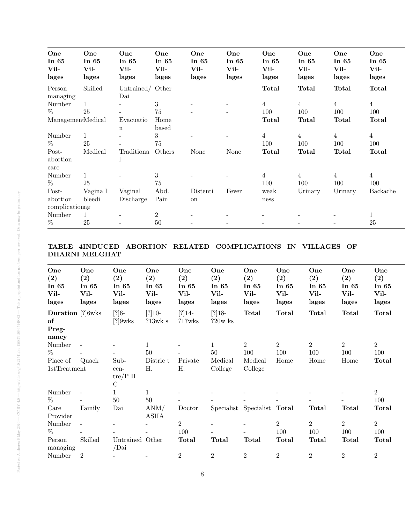| Skilled<br>Untrained/ Other<br><b>Total</b><br><b>Total</b><br><b>Total</b><br><b>Total</b><br>Person<br>Dai<br>managing<br>3<br>$\overline{4}$<br>$\overline{4}$<br>$\overline{4}$<br>$\overline{4}$<br>Number<br>$\mathbf{1}$<br>$\%$<br>25<br>75<br>100<br>100<br>100<br>100 |              |
|---------------------------------------------------------------------------------------------------------------------------------------------------------------------------------------------------------------------------------------------------------------------------------|--------------|
|                                                                                                                                                                                                                                                                                 |              |
|                                                                                                                                                                                                                                                                                 |              |
|                                                                                                                                                                                                                                                                                 |              |
| ManagementMedical<br><b>Total</b><br>Home<br>Total<br>Total<br>Evacuatio<br>based<br>$\mathbf n$                                                                                                                                                                                | Total        |
| 3<br>Number<br>$\overline{4}$<br>$\overline{4}$<br>$\overline{4}$<br>$\overline{4}$                                                                                                                                                                                             |              |
| $\%$<br>25<br>100<br>75<br>100<br>100<br>100                                                                                                                                                                                                                                    |              |
| Others<br>Post-<br>Medical<br>Traditiona<br><b>Total</b><br>Total<br>Total<br>None<br>None<br>abortion<br>care                                                                                                                                                                  | <b>Total</b> |
| 3<br>$\mathbf{1}$<br>$\overline{4}$<br>$\overline{4}$<br>Number<br>4<br>4                                                                                                                                                                                                       |              |
| %<br>25<br>100<br>75<br>100<br>100<br>100                                                                                                                                                                                                                                       |              |
| Post-<br>Abd.<br>Vagina l<br>Vaginal<br>Fever<br>Urinary<br>Distenti<br>weak<br>Urinary                                                                                                                                                                                         | Backache     |
| Pain<br>abortion<br>bleedi<br>Discharge<br>on<br>ness                                                                                                                                                                                                                           |              |
| complicationng                                                                                                                                                                                                                                                                  |              |
| $\overline{2}$<br>Number<br>$\mathbf{1}$                                                                                                                                                                                                                                        |              |
| $\%$<br>25<br>50<br>25                                                                                                                                                                                                                                                          |              |

## TABLE 4INDUCED ABORTION RELATED COMPLICATIONS IN VILLAGES OF DHARNI MELGHAT

| One<br>$\left( 2\right)$<br>In 65<br>Vil-<br>lages | One<br>(2)<br>In $65$<br>Vil-<br>lages | One<br>(2)<br>In $65$<br>Vil-<br>lages    | One<br>(2)<br>In $65$<br>Vil-<br>lages | One<br>$\left( 2\right)$<br>In $65$<br>Vil-<br>lages | One<br>(2)<br>In $65$<br>Vil-<br>lages | One<br>(2)<br>In $65$<br>Vil-<br>lages | One<br>(2)<br>In $65$<br>Vil-<br>lages | One<br>(2)<br>In $65$<br>Vil-<br>lages | One<br>$\left( 2\right)$<br>In $65$<br>Vil-<br>lages | One<br>(2)<br>In $65$<br>Vil-<br>lages |
|----------------------------------------------------|----------------------------------------|-------------------------------------------|----------------------------------------|------------------------------------------------------|----------------------------------------|----------------------------------------|----------------------------------------|----------------------------------------|------------------------------------------------------|----------------------------------------|
| <b>Duration</b> [?]6wks<br>of<br>Preg-             |                                        | $[?]6-$<br>$[?]9w$ ks                     | $[?]10-$<br>?13wk s                    | $[?]14-$<br>?17wks                                   | $[?]18-$<br>$?20w$ ks                  | Total                                  | Total                                  | <b>Total</b>                           | Total                                                | <b>Total</b>                           |
| nancy                                              |                                        |                                           | $\mathbf{1}$                           |                                                      |                                        | $\overline{2}$                         | $\overline{2}$                         | $\overline{2}$                         | $\overline{2}$                                       | $\overline{2}$                         |
| Number<br>$\%$                                     | $\overline{\phantom{a}}$               |                                           | 50                                     |                                                      | 50                                     | 100                                    | 100                                    | 100                                    | 100                                                  | 100                                    |
| Place of                                           | Quack                                  | Sub-                                      | Distric t                              | Private                                              | Medical                                | Medical                                | Home                                   | Home                                   | Home                                                 | Total                                  |
| 1stTreatment                                       |                                        | cen-<br>$\text{tre/P H}$<br>$\mathcal{C}$ | Η.                                     | Η.                                                   | College                                | College                                |                                        |                                        |                                                      |                                        |
| Number                                             | $\overline{a}$                         | $\mathbf{1}$                              | $\mathbf{1}$                           |                                                      |                                        |                                        |                                        |                                        |                                                      | $\overline{2}$                         |
| %                                                  |                                        | $50\,$                                    | $50\,$                                 |                                                      |                                        |                                        |                                        |                                        |                                                      | 100                                    |
| Care<br>Provider                                   | Family                                 | Dai                                       | ANM/<br><b>ASHA</b>                    | Doctor                                               |                                        | Specialist Specialist Total            |                                        | Total                                  | Total                                                | Total                                  |
| Number                                             | $\overline{\phantom{a}}$               |                                           |                                        | $\overline{2}$                                       |                                        |                                        | $\overline{2}$                         | $\overline{2}$                         | $\overline{2}$                                       | $\overline{2}$                         |
| $\%$                                               |                                        |                                           |                                        | 100                                                  |                                        |                                        | 100                                    | 100                                    | 100                                                  | 100                                    |
| Person                                             | Skilled                                | Untrained Other<br>/Dai                   |                                        | Total                                                | <b>Total</b>                           | Total                                  | Total                                  | Total                                  | Total                                                | <b>Total</b>                           |
| managing<br>Number                                 | $\overline{2}$                         |                                           |                                        | $\boldsymbol{2}$                                     | $\overline{2}$                         | $\overline{2}$                         | $\,2$                                  | $\overline{2}$                         | $\overline{2}$                                       | $\overline{2}$                         |
|                                                    |                                        |                                           |                                        |                                                      |                                        |                                        |                                        |                                        |                                                      |                                        |